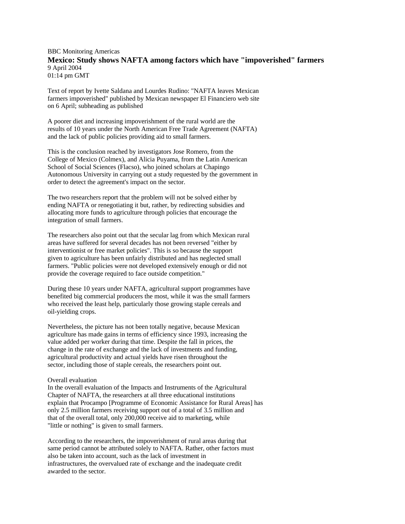## BBC Monitoring Americas **Mexico: Study shows NAFTA among factors which have "impoverished" farmers** 9 April 2004 01:14 pm GMT

Text of report by Ivette Saldana and Lourdes Rudino: "NAFTA leaves Mexican farmers impoverished" published by Mexican newspaper El Financiero web site on 6 April; subheading as published

A poorer diet and increasing impoverishment of the rural world are the results of 10 years under the North American Free Trade Agreement (NAFTA) and the lack of public policies providing aid to small farmers.

This is the conclusion reached by investigators Jose Romero, from the College of Mexico (Colmex), and Alicia Puyama, from the Latin American School of Social Sciences (Flacso), who joined scholars at Chapingo Autonomous University in carrying out a study requested by the government in order to detect the agreement's impact on the sector.

The two researchers report that the problem will not be solved either by ending NAFTA or renegotiating it but, rather, by redirecting subsidies and allocating more funds to agriculture through policies that encourage the integration of small farmers.

The researchers also point out that the secular lag from which Mexican rural areas have suffered for several decades has not been reversed "either by interventionist or free market policies". This is so because the support given to agriculture has been unfairly distributed and has neglected small farmers. "Public policies were not developed extensively enough or did not provide the coverage required to face outside competition."

During these 10 years under NAFTA, agricultural support programmes have benefited big commercial producers the most, while it was the small farmers who received the least help, particularly those growing staple cereals and oil-yielding crops.

Nevertheless, the picture has not been totally negative, because Mexican agriculture has made gains in terms of efficiency since 1993, increasing the value added per worker during that time. Despite the fall in prices, the change in the rate of exchange and the lack of investments and funding, agricultural productivity and actual yields have risen throughout the sector, including those of staple cereals, the researchers point out.

## Overall evaluation

In the overall evaluation of the Impacts and Instruments of the Agricultural Chapter of NAFTA, the researchers at all three educational institutions explain that Procampo [Programme of Economic Assistance for Rural Areas] has only 2.5 million farmers receiving support out of a total of 3.5 million and that of the overall total, only 200,000 receive aid to marketing, while "little or nothing" is given to small farmers.

According to the researchers, the impoverishment of rural areas during that same period cannot be attributed solely to NAFTA. Rather, other factors must also be taken into account, such as the lack of investment in infrastructures, the overvalued rate of exchange and the inadequate credit awarded to the sector.